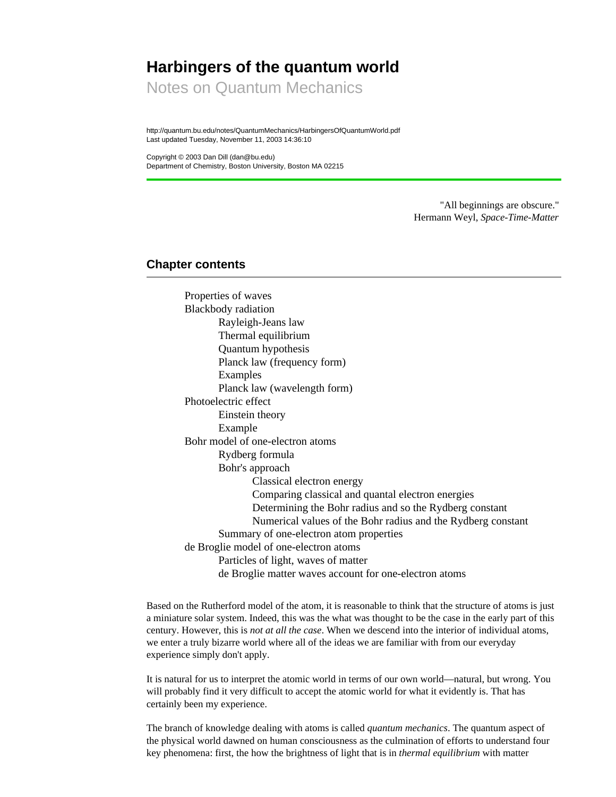# **Harbingers of the quantum world**

Notes on Quantum Mechanics

http://quantum.bu.edu/notes/QuantumMechanics/HarbingersOfQuantumWorld.pdf Last updated Tuesday, November 11, 2003 14:36:10

Copyright © 2003 Dan Dill (dan@bu.edu) Department of Chemistry, Boston University, Boston MA 02215

> "All beginnings are obscure." Hermann Weyl, *Space-Time-Matter*

# **Chapter contents**

Properties of waves Blackbody radiation Rayleigh-Jeans law Thermal equilibrium Quantum hypothesis Planck law (frequency form) Examples Planck law (wavelength form) Photoelectric effect Einstein theory Example Bohr model of one-electron atoms Rydberg formula Bohr's approach Classical electron energy Comparing classical and quantal electron energies Determining the Bohr radius and so the Rydberg constant Numerical values of the Bohr radius and the Rydberg constant Summary of one-electron atom properties de Broglie model of one-electron atoms Particles of light, waves of matter de Broglie matter waves account for one-electron atoms

Based on the Rutherford model of the atom, it is reasonable to think that the structure of atoms is just a miniature solar system. Indeed, this was the what was thought to be the case in the early part of this century. However, this is *not at all the case*. When we descend into the interior of individual atoms, we enter a truly bizarre world where all of the ideas we are familiar with from our everyday experience simply don't apply.

It is natural for us to interpret the atomic world in terms of our own world—natural, but wrong. You will probably find it very difficult to accept the atomic world for what it evidently is. That has certainly been my experience.

The branch of knowledge dealing with atoms is called *quantum mechanics*. The quantum aspect of the physical world dawned on human consciousness as the culmination of efforts to understand four key phenomena: first, the how the brightness of light that is in *thermal equilibrium* with matter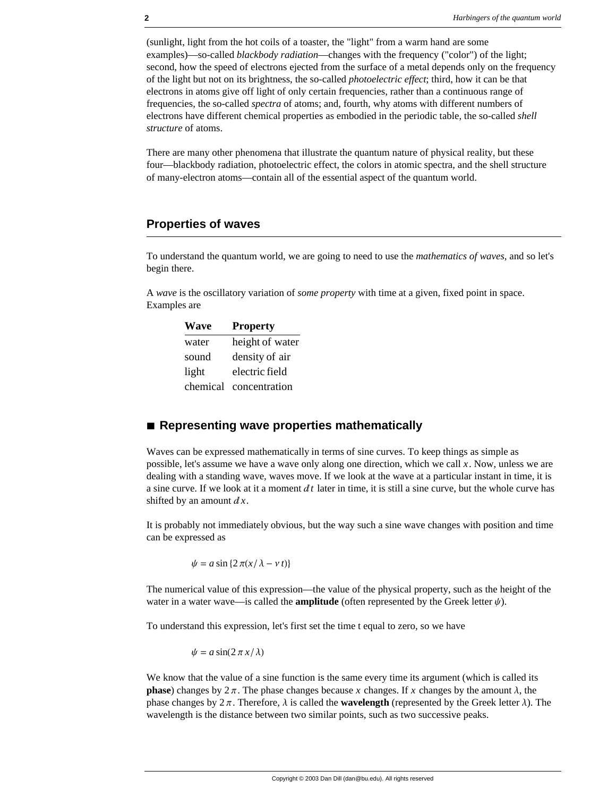(sunlight, light from the hot coils of a toaster, the "light" from a warm hand are some examples)—so-called *blackbody radiation*—changes with the frequency ("color") of the light; second, how the speed of electrons ejected from the surface of a metal depends only on the frequency of the light but not on its brightness, the so-called *photoelectric effect*; third, how it can be that electrons in atoms give off light of only certain frequencies, rather than a continuous range of frequencies, the so-called *spectra* of atoms; and, fourth, why atoms with different numbers of electrons have different chemical properties as embodied in the periodic table, the so-called *shell structure* of atoms.

There are many other phenomena that illustrate the quantum nature of physical reality, but these four—blackbody radiation, photoelectric effect, the colors in atomic spectra, and the shell structure of many-electron atoms—contain all of the essential aspect of the quantum world.

# **Properties of waves**

To understand the quantum world, we are going to need to use the *mathematics of waves*, and so let's begin there.

A *wave* is the oscillatory variation of *some property* with time at a given, fixed point in space. Examples are

| Wave     | <b>Property</b> |
|----------|-----------------|
| water    | height of water |
| sound    | density of air  |
| light    | electric field  |
| chemical | concentration   |

## ■ **Representing wave properties mathematically**

Waves can be expressed mathematically in terms of sine curves. To keep things as simple as possible, let's assume we have a wave only along one direction, which we call *x*. Now, unless we are dealing with a standing wave, waves move. If we look at the wave at a particular instant in time, it is a sine curve. If we look at it a moment  $dt$  later in time, it is still a sine curve, but the whole curve has shifted by an amount  $dx$ .

It is probably not immediately obvious, but the way such a sine wave changes with position and time can be expressed as

 $\psi = a \sin \{2 \pi (x/\lambda - v t)\}$ 

The numerical value of this expression—the value of the physical property, such as the height of the water in a water wave—is called the **amplitude** (often represented by the Greek letter  $\psi$ ).

To understand this expression, let's first set the time t equal to zero, so we have

 $\psi = a \sin(2\pi x/\lambda)$ 

We know that the value of a sine function is the same every time its argument (which is called its **phase**) changes by  $2 \pi$ . The phase changes because *x* changes. If *x* changes by the amount  $\lambda$ , the phase changes by  $2\pi$ . Therefore,  $\lambda$  is called the **wavelength** (represented by the Greek letter  $\lambda$ ). The wavelength is the distance between two similar points, such as two successive peaks.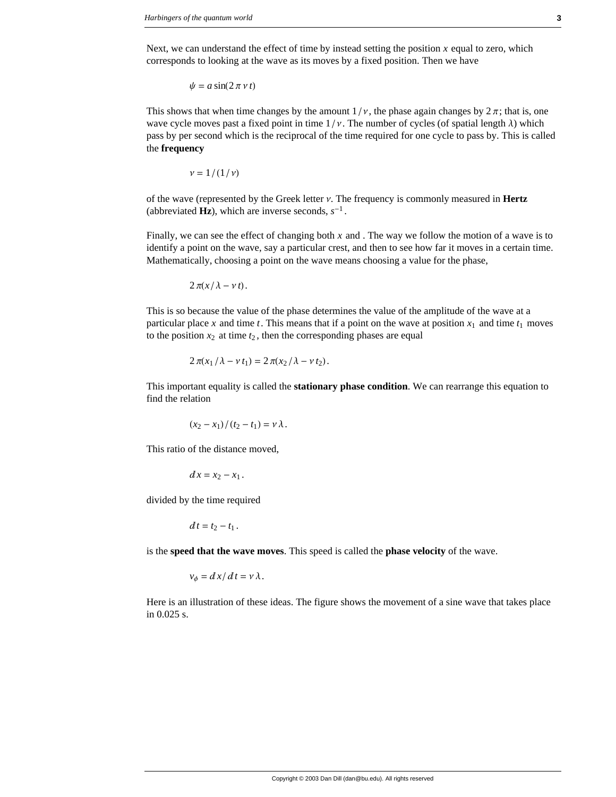Next, we can understand the effect of time by instead setting the position  $x$  equal to zero, which corresponds to looking at the wave as its moves by a fixed position. Then we have

$$
\psi = a \sin(2\pi \nu t)
$$

This shows that when time changes by the amount  $1/v$ , the phase again changes by  $2\pi$ ; that is, one wave cycle moves past a fixed point in time  $1/\nu$ . The number of cycles (of spatial length  $\lambda$ ) which pass by per second which is the reciprocal of the time required for one cycle to pass by. This is called the **frequency**

$$
\nu=1/(1/\nu)
$$

of the wave (represented by the Greek letter  $\nu$ . The frequency is commonly measured in **Hertz** (abbreviated **Hz**), which are inverse seconds,  $s^{-1}$ .

Finally, we can see the effect of changing both *x* and . The way we follow the motion of a wave is to identify a point on the wave, say a particular crest, and then to see how far it moves in a certain time. Mathematically, choosing a point on the wave means choosing a value for the phase,

$$
2\,\pi(x/\lambda-\nu\,t).
$$

This is so because the value of the phase determines the value of the amplitude of the wave at a particular place x and time t. This means that if a point on the wave at position  $x_1$  and time  $t_1$  moves to the position  $x_2$  at time  $t_2$ , then the corresponding phases are equal

$$
2\pi(x_1/\lambda - \nu t_1) = 2\pi(x_2/\lambda - \nu t_2).
$$

This important equality is called the **stationary phase condition**. We can rearrange this equation to find the relation

$$
(x_2-x_1)/(t_2-t_1)=\nu\lambda.
$$

This ratio of the distance moved,

$$
dx=x_2-x_1.
$$

divided by the time required

$$
dt=t_2-t_1.
$$

is the **speed that the wave moves**. This speed is called the **phase velocity** of the wave.

$$
v_{\phi} = dx/dt = v \lambda.
$$

Here is an illustration of these ideas. The figure shows the movement of a sine wave that takes place in 0.025 s.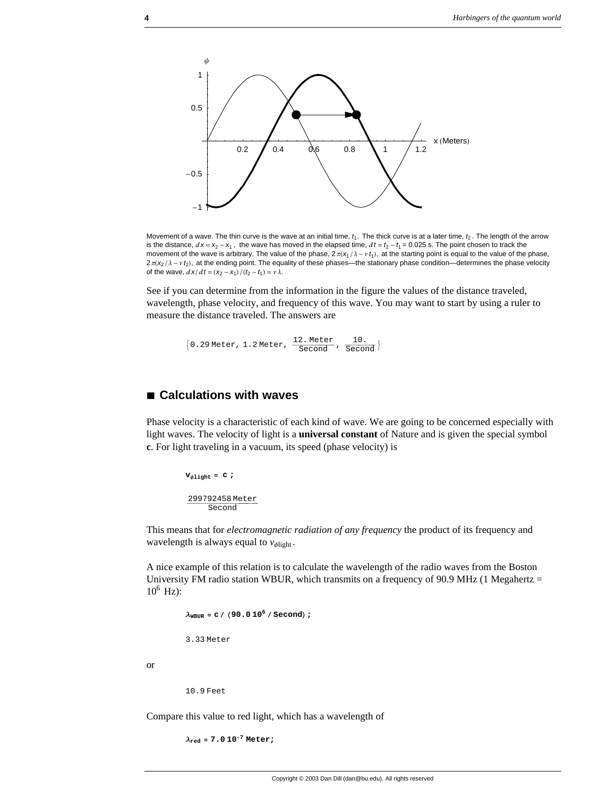

Movement of a wave. The thin curve is the wave at an initial time,  $t_1$ . The thick curve is at a later time,  $t_2$ . The length of the arrow is the distance,  $dx = x_2 - x_1$ , the wave has moved in the elapsed time,  $dt = t_2 - t_1 = 0.025$  s. The point chosen to track the movement of the wave is arbitrary. The value of the phase,  $2\pi(X_1/\lambda - v_1)$ , at the starting point is equal to the value of the phase,  $2\pi$ ( $x_2$ / $\lambda$  -  $\nu$   $t_2$ ), at the ending point. The equality of these phases—the stationary phase condition—determines the phase velocity of the wave,  $\frac{d x}{dt} = \frac{(x_2 - x_1)}{(t_2 - t_1)} = v \lambda$ .

See if you can determine from the information in the figure the values of the distance traveled, wavelength, phase velocity, and frequency of this wave. You may want to start by using a ruler to measure the distance traveled. The answers are

 ${0.29 \text{ meter}, 1.2 \text{meter}, \frac{12. \text{ meter}}{\text{Second}}}, \frac{10.}{\text{Second}}$ 

# **à Calculations with waves**

Phase velocity is a characteristic of each kind of wave. We are going to be concerned especially with light waves. The velocity of light is a **universal constant** of Nature and is given the special symbol **c**. For light traveling in a vacuum, its speed (phase velocity) is

 $V_{\phi\text{light}} = C$  ; 299792458 Meter Second

This means that for *electromagnetic radiation of any frequency* the product of its frequency and wavelength is always equal to  $v_{\phi\text{light}}$ .

A nice example of this relation is to calculate the wavelength of the radio waves from the Boston University FM radio station WBUR, which transmits on a frequency of 90.9 MHz (1 Megahertz  $=$  $10^6$  Hz):

```
\lambda_{\text{WBUR}} = c / (90.0 10^6 / \text{Second});
3.33 Meter
```
or

10.9 Feet

Compare this value to red light, which has a wavelength of

 $\lambda_{\text{red}} = 7.0 10^{-7} \text{ Meter}$ ;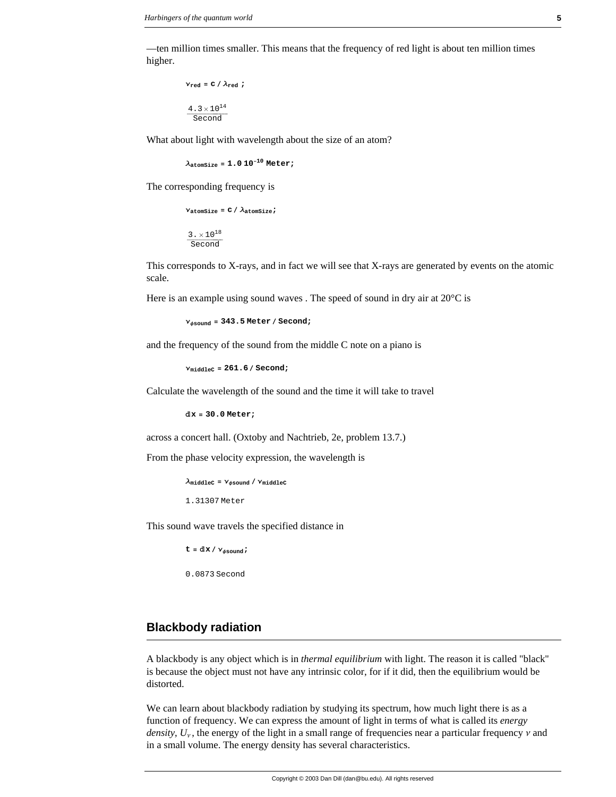—ten million times smaller. This means that the frequency of red light is about ten million times higher.

```
v_{\text{red}} = c / \lambda_{\text{red}} ;
 4\cdot3\times10^{14}Second
```
What about light with wavelength about the size of an atom?

**λatomSize = 1.0 10−<sup>10</sup> Meter;**

The corresponding frequency is

 $v_{\text{atomsize}} = c / \lambda_{\text{atomsize}}$  $3. \times 10^{18}$ Second

This corresponds to X-rays, and in fact we will see that X-rays are generated by events on the atomic scale.

Here is an example using sound waves . The speed of sound in dry air at 20°C is

**νφsound <sup>=</sup> 343.5 Meter <sup>ê</sup> Second;**

and the frequency of the sound from the middle C note on a piano is

**<sup>ν</sup>middleC <sup>=</sup> 261.6 <sup>ê</sup> Second;**

Calculate the wavelength of the sound and the time it will take to travel

**Åx = 30.0 Meter;**

across a concert hall. (Oxtoby and Nachtrieb, 2e, problem 13.7.)

From the phase velocity expression, the wavelength is

 $\lambda_{\text{middle}}$  **=**  $\nu_{\phi \text{sound}} / \nu_{\text{middle}}$ 

1.31307 Meter

This sound wave travels the specified distance in

 $t = d \mathbf{x} / \mathbf{v}_{\text{dsound}}$ ; 0.0873 Second

# **Blackbody radiation**

A blackbody is any object which is in *thermal equilibrium* with light. The reason it is called "black'' is because the object must not have any intrinsic color, for if it did, then the equilibrium would be distorted.

We can learn about blackbody radiation by studying its spectrum, how much light there is as a function of frequency. We can express the amount of light in terms of what is called its *energy density*,  $U_v$ , the energy of the light in a small range of frequencies near a particular frequency  $\nu$  and in a small volume. The energy density has several characteristics.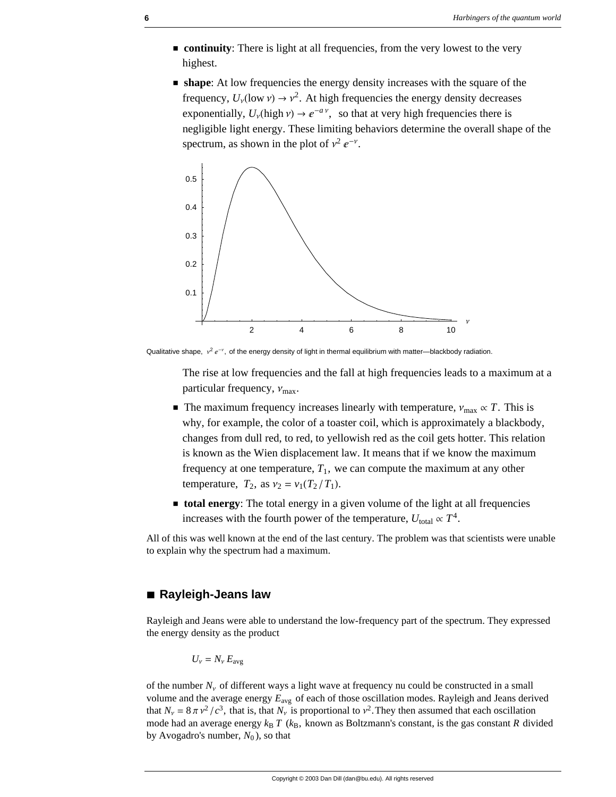- $\blacksquare$  continuity: There is light at all frequencies, from the very lowest to the very highest.
- $\blacksquare$  **shape:** At low frequencies the energy density increases with the square of the frequency,  $U_v$ (low  $v$ )  $\rightarrow$   $v^2$ . At high frequencies the energy density decreases exponentially,  $U_v$ (high  $v \rightarrow e^{-a v}$ , so that at very high frequencies there is negligible light energy. These limiting behaviors determine the overall shape of the spectrum, as shown in the plot of  $v^2 e^{-v}$ .



Qualitative shape,  $v^2 e^{-v}$ , of the energy density of light in thermal equilibrium with matter—blackbody radiation.

The rise at low frequencies and the fall at high frequencies leads to a maximum at a particular frequency,  $v_{\text{max}}$ .

- **■** The maximum frequency increases linearly with temperature,  $v_{\text{max}} \propto T$ . This is why, for example, the color of a toaster coil, which is approximately a blackbody, changes from dull red, to red, to yellowish red as the coil gets hotter. This relation is known as the Wien displacement law. It means that if we know the maximum frequency at one temperature,  $T_1$ , we can compute the maximum at any other temperature,  $T_2$ , as  $v_2 = v_1(T_2/T_1)$ .
- **total energy**: The total energy in a given volume of the light at all frequencies increases with the fourth power of the temperature,  $U_{\text{total}} \propto T^4$ .

All of this was well known at the end of the last century. The problem was that scientists were unable to explain why the spectrum had a maximum.

# **à Rayleigh-Jeans law**

Rayleigh and Jeans were able to understand the low-frequency part of the spectrum. They expressed the energy density as the product

$$
U_{v} = N_{v} E_{\text{avg}}
$$

of the number  $N_v$  of different ways a light wave at frequency nu could be constructed in a small volume and the average energy  $E_{\text{avg}}$  of each of those oscillation modes. Rayleigh and Jeans derived that  $N_v = 8 \pi v^2/c^3$ , that is, that  $N_v$  is proportional to  $v^2$ . They then assumed that each oscillation mode had an average energy  $k_B T$  ( $k_B$ , known as Boltzmann's constant, is the gas constant *R* divided by Avogadro's number,  $N_0$ ), so that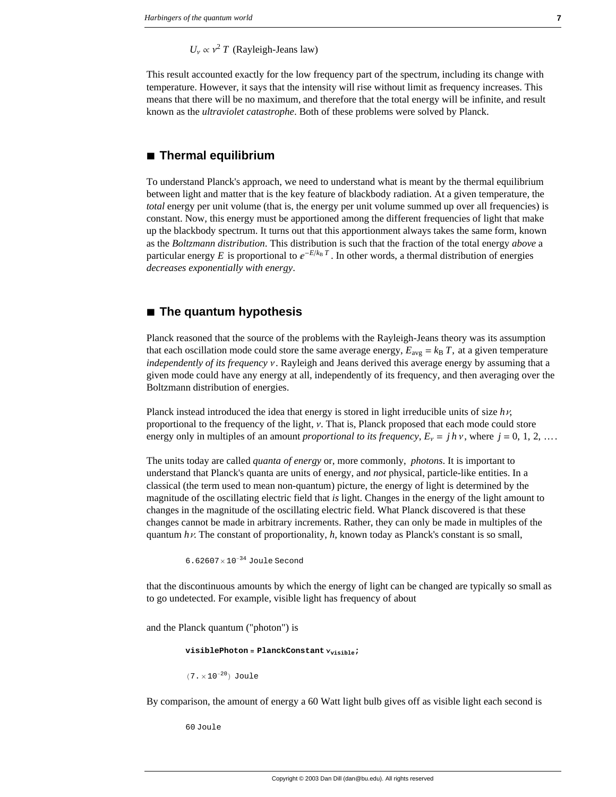$U_v \propto v^2 T$  (Rayleigh-Jeans law)

This result accounted exactly for the low frequency part of the spectrum, including its change with temperature. However, it says that the intensity will rise without limit as frequency increases. This means that there will be no maximum, and therefore that the total energy will be infinite, and result known as the *ultraviolet catastrophe*. Both of these problems were solved by Planck.

# **à Thermal equilibrium**

To understand Planck's approach, we need to understand what is meant by the thermal equilibrium between light and matter that is the key feature of blackbody radiation. At a given temperature, the *total* energy per unit volume (that is, the energy per unit volume summed up over all frequencies) is constant. Now, this energy must be apportioned among the different frequencies of light that make up the blackbody spectrum. It turns out that this apportionment always takes the same form, known as the *Boltzmann distribution*. This distribution is such that the fraction of the total energy *above* a particular energy *E* is proportional to  $e^{-E/k_B T}$ . In other words, a thermal distribution of energies *decreases exponentially with energy*.

## **à The quantum hypothesis**

Planck reasoned that the source of the problems with the Rayleigh-Jeans theory was its assumption that each oscillation mode could store the same average energy,  $E_{\text{avg}} = k_B T$ , at a given temperature *independently of its frequency v.* Rayleigh and Jeans derived this average energy by assuming that a given mode could have any energy at all, independently of its frequency, and then averaging over the Boltzmann distribution of energies.

Planck instead introduced the idea that energy is stored in light irreducible units of size  $h\nu$ , proportional to the frequency of the light,  $\nu$ . That is, Planck proposed that each mode could store energy only in multiples of an amount *proportional to its frequency*,  $E_v = j h v$ , where  $j = 0, 1, 2, ...$ 

The units today are called *quanta of energy* or, more commonly, *photons*. It is important to understand that Planck's quanta are units of energy, and *not* physical, particle-like entities. In a classical (the term used to mean non-quantum) picture, the energy of light is determined by the magnitude of the oscillating electric field that *is* light. Changes in the energy of the light amount to changes in the magnitude of the oscillating electric field. What Planck discovered is that these changes cannot be made in arbitrary increments. Rather, they can only be made in multiples of the quantum  $h\nu$ . The constant of proportionality,  $h$ , known today as Planck's constant is so small,

```
6.62607× 10−34 Joule Second
```
that the discontinuous amounts by which the energy of light can be changed are typically so small as to go undetected. For example, visible light has frequency of about

and the Planck quantum ("photon") is

```
visiblePhoton = PlanckConstant νvisible;
(7. \times 10^{-20}) Joule
```
By comparison, the amount of energy a 60 Watt light bulb gives off as visible light each second is

60 Joule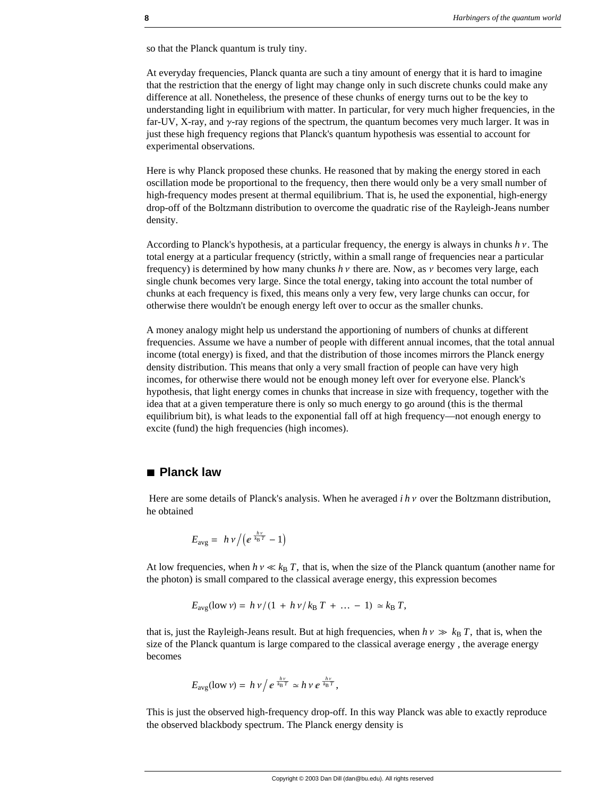so that the Planck quantum is truly tiny.

At everyday frequencies, Planck quanta are such a tiny amount of energy that it is hard to imagine that the restriction that the energy of light may change only in such discrete chunks could make any difference at all. Nonetheless, the presence of these chunks of energy turns out to be the key to understanding light in equilibrium with matter. In particular, for very much higher frequencies, in the far-UV, X-ray, and  $\gamma$ -ray regions of the spectrum, the quantum becomes very much larger. It was in just these high frequency regions that Planck's quantum hypothesis was essential to account for experimental observations.

Here is why Planck proposed these chunks. He reasoned that by making the energy stored in each oscillation mode be proportional to the frequency, then there would only be a very small number of high-frequency modes present at thermal equilibrium. That is, he used the exponential, high-energy drop-off of the Boltzmann distribution to overcome the quadratic rise of the Rayleigh-Jeans number density.

According to Planck's hypothesis, at a particular frequency, the energy is always in chunks  $h v$ . The total energy at a particular frequency (strictly, within a small range of frequencies near a particular frequency) is determined by how many chunks  $h \nu$  there are. Now, as  $\nu$  becomes very large, each single chunk becomes very large. Since the total energy, taking into account the total number of chunks at each frequency is fixed, this means only a very few, very large chunks can occur, for otherwise there wouldn't be enough energy left over to occur as the smaller chunks.

A money analogy might help us understand the apportioning of numbers of chunks at different frequencies. Assume we have a number of people with different annual incomes, that the total annual income (total energy) is fixed, and that the distribution of those incomes mirrors the Planck energy density distribution. This means that only a very small fraction of people can have very high incomes, for otherwise there would not be enough money left over for everyone else. Planck's hypothesis, that light energy comes in chunks that increase in size with frequency, together with the idea that at a given temperature there is only so much energy to go around (this is the thermal equilibrium bit), is what leads to the exponential fall off at high frequency—not enough energy to excite (fund) the high frequencies (high incomes).

# **à Planck law**

Here are some details of Planck's analysis. When he averaged  $i \, h \, v$  over the Boltzmann distribution, he obtained

$$
E_{\text{avg}} = h \nu / (e^{\frac{h \nu}{k_{\text{B}} T}} - 1)
$$

At low frequencies, when  $h v \ll k_B T$ , that is, when the size of the Planck quantum (another name for the photon) is small compared to the classical average energy, this expression becomes

$$
E_{\text{avg}}(\text{low } \nu) = h \nu / (1 + h \nu / k_{\text{B}} T + ... - 1) \simeq k_{\text{B}} T,
$$

that is, just the Rayleigh-Jeans result. But at high frequencies, when  $h v \gg k_B T$ , that is, when the size of the Planck quantum is large compared to the classical average energy , the average energy becomes

$$
E_{\text{avg}}(\text{low }\nu) = h\,\nu\big/\,e^{\frac{h\nu}{k_{\text{B}}T}} \simeq h\,\nu\,e^{\frac{h\nu}{k_{\text{B}}T}},
$$

This is just the observed high-frequency drop-off. In this way Planck was able to exactly reproduce the observed blackbody spectrum. The Planck energy density is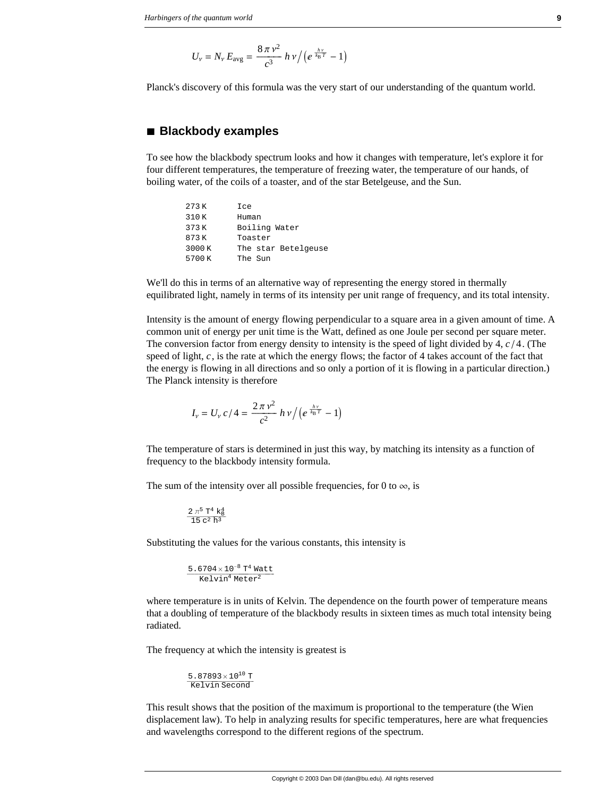$$
U_{\nu} = N_{\nu} E_{\text{avg}} = \frac{8 \pi \nu^2}{c^3} h \nu / (e^{\frac{h \nu}{k_{\text{B}} T}} - 1)
$$

Planck's discovery of this formula was the very start of our understanding of the quantum world.

#### **à Blackbody examples**

To see how the blackbody spectrum looks and how it changes with temperature, let's explore it for four different temperatures, the temperature of freezing water, the temperature of our hands, of boiling water, of the coils of a toaster, and of the star Betelgeuse, and the Sun.

| 273 K | Ice                 |  |
|-------|---------------------|--|
| 310K  | Human               |  |
| 373 K | Boiling Water       |  |
| 873 K | Toaster             |  |
| 3000K | The star Betelgeuse |  |
| 5700K | The Sun             |  |

We'll do this in terms of an alternative way of representing the energy stored in thermally equilibrated light, namely in terms of its intensity per unit range of frequency, and its total intensity.

Intensity is the amount of energy flowing perpendicular to a square area in a given amount of time. A common unit of energy per unit time is the Watt, defined as one Joule per second per square meter. The conversion factor from energy density to intensity is the speed of light divided by  $4$ ,  $c/4$ . (The speed of light,  $c$ , is the rate at which the energy flows; the factor of 4 takes account of the fact that the energy is flowing in all directions and so only a portion of it is flowing in a particular direction.) The Planck intensity is therefore

$$
I_{\nu} = U_{\nu} c / 4 = \frac{2 \pi \nu^2}{c^2} h \nu / (e^{\frac{h \nu}{k_{\rm B} T}} - 1)
$$

The temperature of stars is determined in just this way, by matching its intensity as a function of frequency to the blackbody intensity formula.

The sum of the intensity over all possible frequencies, for 0 to  $\infty$ , is

$$
\frac{2\,\pi^5\;T^4\;k_B^4}{15\;c^2\;h^3}
$$

Substituting the values for the various constants, this intensity is

$$
\frac{5.6704\times10^{-8} \text{ T}^4 \text{ Watt}}{\text{Kelvin}^4 \text{ Meter}^2}
$$

where temperature is in units of Kelvin. The dependence on the fourth power of temperature means that a doubling of temperature of the blackbody results in sixteen times as much total intensity being radiated.

The frequency at which the intensity is greatest is

 $5.87893\times10^{10}$  T<br>Kelvin Second

This result shows that the position of the maximum is proportional to the temperature (the Wien displacement law). To help in analyzing results for specific temperatures, here are what frequencies and wavelengths correspond to the different regions of the spectrum.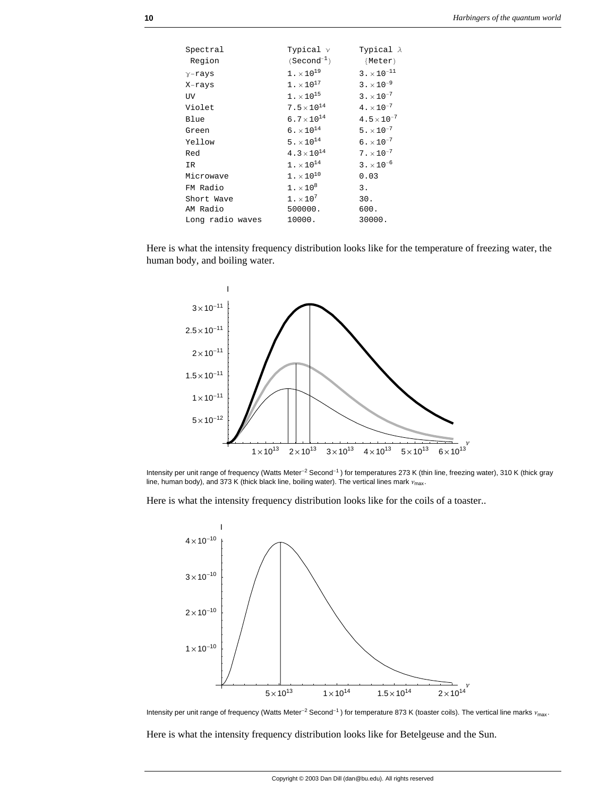| Spectral         | Typical $\nu$            | Typical $\lambda$         |
|------------------|--------------------------|---------------------------|
| Region           | $(Second^{-1})$          | {Meter}                   |
| $\gamma$ -rays   | $1. \times 10^{19}$      | $3 \cdot \times 10^{-11}$ |
| X-rays           | $1. \times 10^{17}$      | $3 \cdot \times 10^{-9}$  |
| UV.              | $1 \cdot \times 10^{15}$ | $3 \cdot \times 10^{-7}$  |
| Violet           | $7.5 \times 10^{14}$     | $4 \cdot \times 10^{-7}$  |
| Blue             | $6.7 \times 10^{14}$     | $4.5 \times 10^{-7}$      |
| Green            | $6. \times 10^{14}$      | $5. \times 10^{-7}$       |
| Yellow           | $5. \times 10^{14}$      | $6. \times 10^{-7}$       |
| Red              | $4.3 \times 10^{14}$     | $7. \times 10^{-7}$       |
| IR               | $1 \cdot \times 10^{14}$ | $3 \cdot \times 10^{-6}$  |
| Microwave        | $1. \times 10^{10}$      | 0.03                      |
| FM Radio         | $1. \times 10^8$         | 3.                        |
| Short Wave       | $1. \times 10^{7}$       | 30.                       |
| AM Radio         | 500000.                  | 600.                      |
| Long radio waves | 10000.                   | 30000.                    |

Here is what the intensity frequency distribution looks like for the temperature of freezing water, the human body, and boiling water.



Intensity per unit range of frequency (Watts Meter<sup>-2</sup> Second<sup>-1</sup>) for temperatures 273 K (thin line, freezing water), 310 K (thick gray line, human body), and 373 K (thick black line, boiling water). The vertical lines mark  $v_{\text{max}}$ .

Here is what the intensity frequency distribution looks like for the coils of a toaster..



Intensity per unit range of frequency (Watts Meter<sup>-2</sup> Second<sup>-1</sup>) for temperature 873 K (toaster coils). The vertical line marks  $v_{\rm max}$ .

Here is what the intensity frequency distribution looks like for Betelgeuse and the Sun.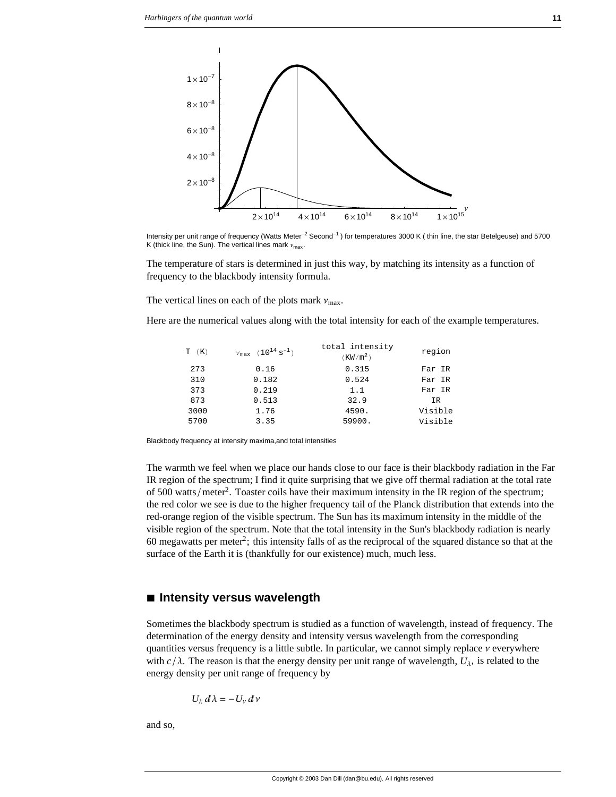

Intensity per unit range of frequency (Watts Meter<sup>-2</sup> Second<sup>-1</sup>) for temperatures 3000 K (thin line, the star Betelgeuse) and 5700 K (thick line, the Sun). The vertical lines mark  $v_{\text{max}}$ .

The temperature of stars is determined in just this way, by matching its intensity as a function of frequency to the blackbody intensity formula.

The vertical lines on each of the plots mark  $v_{\text{max}}$ .

Here are the numerical values along with the total intensity for each of the example temperatures.

| $T$ $(K)$ | $V_{\text{max}}$ $(10^{14} \text{ s}^{-1})$ | total intensity<br>(KW/m <sup>2</sup> ) | region  |
|-----------|---------------------------------------------|-----------------------------------------|---------|
| 273       | 0.16                                        | 0.315                                   | Far IR  |
| 310       | 0.182                                       | 0.524                                   | Far IR  |
| 373       | 0.219                                       | 1.1                                     | Far IR  |
| 873       | 0.513                                       | 32.9                                    | ΙR.     |
| 3000      | 1.76                                        | 4590.                                   | Visible |
| 5700      | 3.35                                        | 59900.                                  | Visible |

Blackbody frequency at intensity maxima,and total intensities

The warmth we feel when we place our hands close to our face is their blackbody radiation in the Far IR region of the spectrum; I find it quite surprising that we give off thermal radiation at the total rate of 500 watts/meter<sup>2</sup>. Toaster coils have their maximum intensity in the IR region of the spectrum; the red color we see is due to the higher frequency tail of the Planck distribution that extends into the red-orange region of the visible spectrum. The Sun has its maximum intensity in the middle of the visible region of the spectrum. Note that the total intensity in the Sun's blackbody radiation is nearly 60 megawatts per meter<sup>2</sup>; this intensity falls of as the reciprocal of the squared distance so that at the surface of the Earth it is (thankfully for our existence) much, much less.

#### **à Intensity versus wavelength**

Sometimes the blackbody spectrum is studied as a function of wavelength, instead of frequency. The determination of the energy density and intensity versus wavelength from the corresponding quantities versus frequency is a little subtle. In particular, we cannot simply replace  $\nu$  everywhere with  $c/\lambda$ . The reason is that the energy density per unit range of wavelength,  $U_{\lambda}$ , is related to the energy density per unit range of frequency by

$$
U_{\lambda} d\lambda = -U_{\nu} d\nu
$$

and so,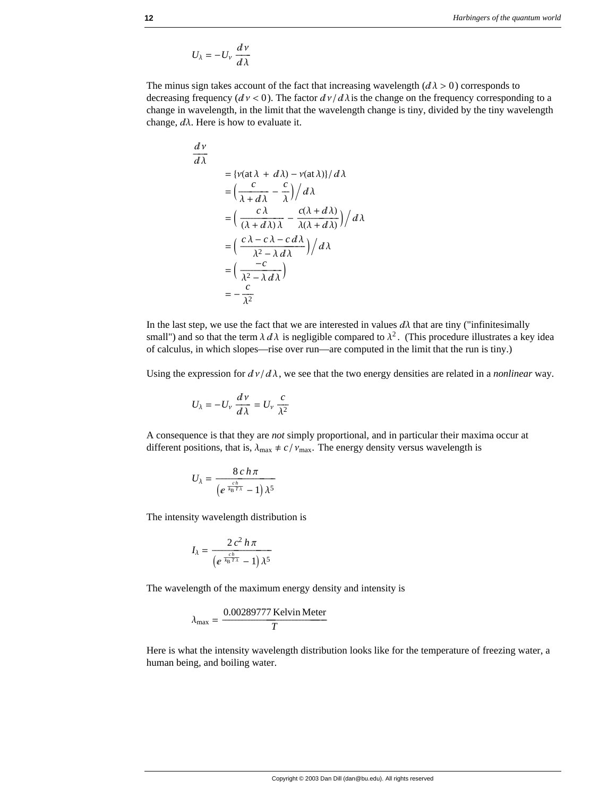$$
U_\lambda = -U_\nu \, \frac{d\, \nu}{d\lambda}
$$

The minus sign takes account of the fact that increasing wavelength  $(d\lambda > 0)$  corresponds to decreasing frequency ( $dv < 0$ ). The factor  $dv/d\lambda$  is the change on the frequency corresponding to a change in wavelength, in the limit that the wavelength change is tiny, divided by the tiny wavelength change,  $d\lambda$ . Here is how to evaluate it.

$$
\frac{d\nu}{d\lambda} = \left\{ \frac{\nu(\text{at }\lambda + d\lambda) - \nu(\text{at }\lambda) \} / d\lambda \right\}
$$

$$
= \left( \frac{c}{\lambda + d\lambda} - \frac{c}{\lambda} \right) / d\lambda
$$

$$
= \left( \frac{c\lambda}{(\lambda + d\lambda)\lambda} - \frac{c(\lambda + d\lambda)}{\lambda(\lambda + d\lambda)} \right) / d\lambda
$$

$$
= \left( \frac{c\lambda - c\lambda - c\,d\lambda}{\lambda^2 - \lambda\,d\lambda} \right) / d\lambda
$$

$$
= \left( \frac{-c}{\lambda^2 - \lambda\,d\lambda} \right)
$$

$$
= -\frac{c}{\lambda^2}
$$

In the last step, we use the fact that we are interested in values  $d\lambda$  that are tiny ("infinitesimally small") and so that the term  $\lambda d\lambda$  is negligible compared to  $\lambda^2$ . (This procedure illustrates a key idea of calculus, in which slopes—rise over run—are computed in the limit that the run is tiny.)

Using the expression for  $d\nu/d\lambda$ , we see that the two energy densities are related in a *nonlinear* way.

$$
U_{\lambda} = -U_{\nu} \frac{d \nu}{d \lambda} = U_{\nu} \frac{c}{\lambda^2}
$$

A consequence is that they are *not* simply proportional, and in particular their maxima occur at different positions, that is,  $\lambda_{\text{max}} \neq c / v_{\text{max}}$ . The energy density versus wavelength is

$$
U_{\lambda} = \frac{8 c h \pi}{\left(e^{\frac{c h}{k_{\mathrm{B}} T \lambda}} - 1\right) \lambda^5}
$$

The intensity wavelength distribution is

$$
I_{\lambda} = \frac{2 c^2 h \pi}{\left(e^{\frac{c h}{k_B T \lambda}} - 1\right) \lambda^5}
$$

The wavelength of the maximum energy density and intensity is

$$
\lambda_{\text{max}} = \frac{0.00289777 \text{ Kelvin Meter}}{T}
$$

Here is what the intensity wavelength distribution looks like for the temperature of freezing water, a human being, and boiling water.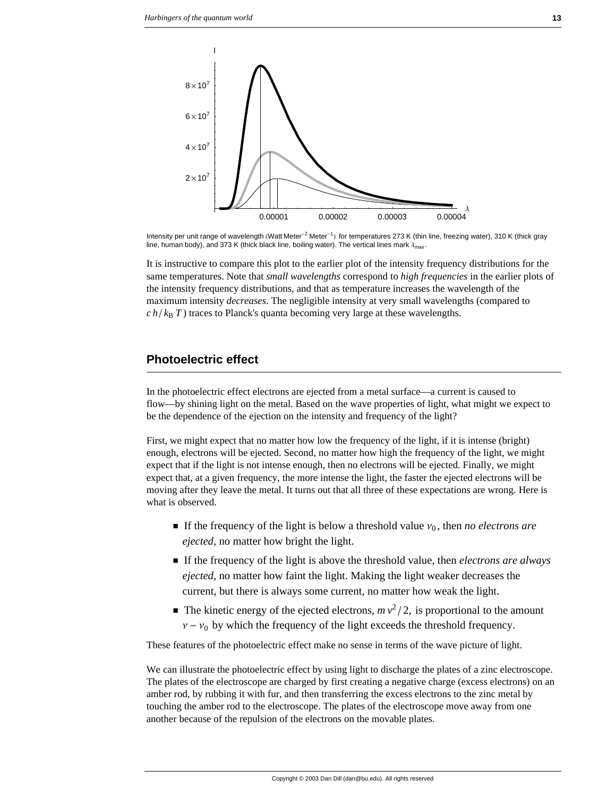

Intensity per unit range of wavelength (Watt Meter<sup>-2</sup> Meter<sup>-1</sup>) for temperatures 273 K (thin line, freezing water), 310 K (thick gray line, human body), and 373 K (thick black line, boiling water). The vertical lines mark  $\lambda_{\text{max}}$ .

It is instructive to compare this plot to the earlier plot of the intensity frequency distributions for the same temperatures. Note that *small wavelengths* correspond to *high frequencies* in the earlier plots of the intensity frequency distributions, and that as temperature increases the wavelength of the maximum intensity *decreases*. The negligible intensity at very small wavelengths (compared to  $c \, h / k_B T$ ) traces to Planck's quanta becoming very large at these wavelengths.

# **Photoelectric effect**

In the photoelectric effect electrons are ejected from a metal surface—a current is caused to flow—by shining light on the metal. Based on the wave properties of light, what might we expect to be the dependence of the ejection on the intensity and frequency of the light?

First, we might expect that no matter how low the frequency of the light, if it is intense (bright) enough, electrons will be ejected. Second, no matter how high the frequency of the light, we might expect that if the light is not intense enough, then no electrons will be ejected. Finally, we might expect that, at a given frequency, the more intense the light, the faster the ejected electrons will be moving after they leave the metal. It turns out that all three of these expectations are wrong. Here is what is observed.

- $\blacksquare$  If the frequency of the light is below a threshold value  $v_0$ , then *no electrons are ejected*, no matter how bright the light.
- † If the frequency of the light is above the threshold value, then *electrons are always ejected*, no matter how faint the light. Making the light weaker decreases the current, but there is always some current, no matter how weak the light.
- $\blacksquare$  The kinetic energy of the ejected electrons,  $m v^2 / 2$ , is proportional to the amount  $v - v_0$  by which the frequency of the light exceeds the threshold frequency.

These features of the photoelectric effect make no sense in terms of the wave picture of light.

We can illustrate the photoelectric effect by using light to discharge the plates of a zinc electroscope. The plates of the electroscope are charged by first creating a negative charge (excess electrons) on an amber rod, by rubbing it with fur, and then transferring the excess electrons to the zinc metal by touching the amber rod to the electroscope. The plates of the electroscope move away from one another because of the repulsion of the electrons on the movable plates.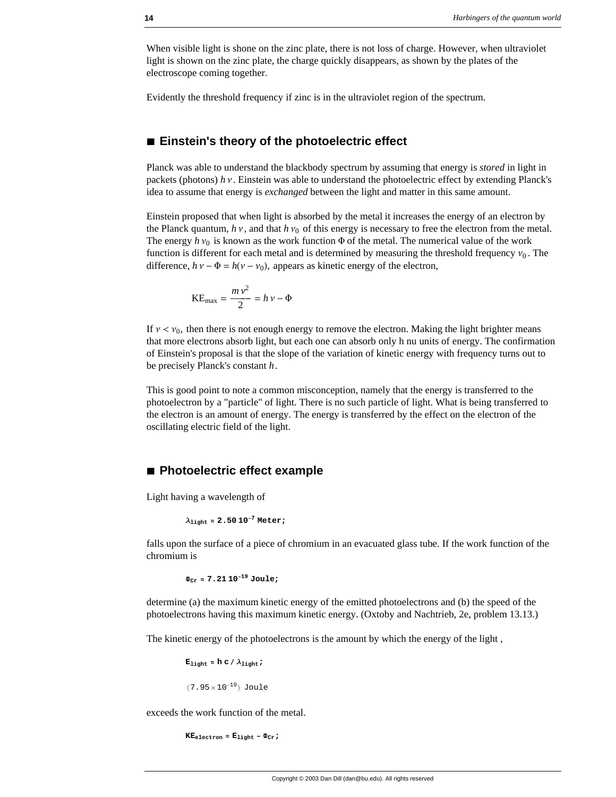When visible light is shone on the zinc plate, there is not loss of charge. However, when ultraviolet light is shown on the zinc plate, the charge quickly disappears, as shown by the plates of the electroscope coming together.

Evidently the threshold frequency if zinc is in the ultraviolet region of the spectrum.

#### **à Einstein's theory of the photoelectric effect**

Planck was able to understand the blackbody spectrum by assuming that energy is *stored* in light in packets (photons)  $h v$ . Einstein was able to understand the photoelectric effect by extending Planck's idea to assume that energy is *exchanged* between the light and matter in this same amount.

Einstein proposed that when light is absorbed by the metal it increases the energy of an electron by the Planck quantum,  $h v$ , and that  $h v_0$  of this energy is necessary to free the electron from the metal. The energy  $h v_0$  is known as the work function  $\Phi$  of the metal. The numerical value of the work function is different for each metal and is determined by measuring the threshold frequency  $v_0$ . The difference,  $h v - \Phi = h(v - v_0)$ , appears as kinetic energy of the electron,

$$
KE_{\text{max}} = \frac{m v^2}{2} = h v - \Phi
$$

If  $v < v_0$ , then there is not enough energy to remove the electron. Making the light brighter means that more electrons absorb light, but each one can absorb only h nu units of energy. The confirmation of Einstein's proposal is that the slope of the variation of kinetic energy with frequency turns out to be precisely Planck's constant *h*.

This is good point to note a common misconception, namely that the energy is transferred to the photoelectron by a "particle" of light. There is no such particle of light. What is being transferred to the electron is an amount of energy. The energy is transferred by the effect on the electron of the oscillating electric field of the light.

## **à Photoelectric effect example**

Light having a wavelength of

```
λlight = 2.50 10−7 Meter;
```
falls upon the surface of a piece of chromium in an evacuated glass tube. If the work function of the chromium is

**ΦCr = 7.21 10−<sup>19</sup> Joule;**

determine (a) the maximum kinetic energy of the emitted photoelectrons and (b) the speed of the photoelectrons having this maximum kinetic energy. (Oxtoby and Nachtrieb, 2e, problem 13.13.)

The kinetic energy of the photoelectrons is the amount by which the energy of the light ,

 $E_{\text{light}} = h \cdot d / \lambda_{\text{light}}$ ;

 $(7.95 \times 10^{-19})$  Joule

exceeds the work function of the metal.

 $KE_{electron} = E_{light} - \Phi_{Cr}$ ;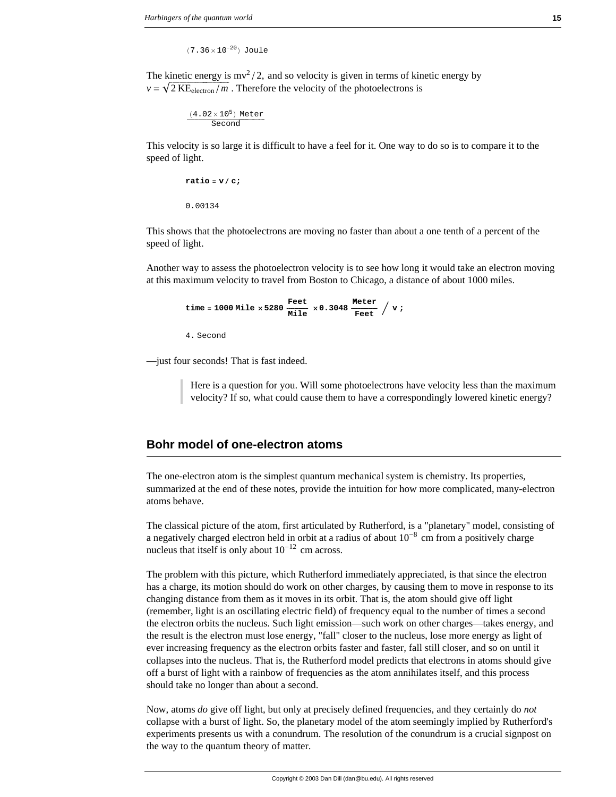$(7.36 \times 10^{-20})$  Joule

The kinetic energy is  $mv^2/2$ , and so velocity is given in terms of kinetic energy by  $v = \sqrt{2 \text{ KE}_{\text{electron}}/m}$ . Therefore the velocity of the photoelectrons is

$$
\frac{(4.02\times10^5) \text{ Meter}}{\text{Second}}
$$

This velocity is so large it is difficult to have a feel for it. One way to do so is to compare it to the speed of light.

```
ratio = v/c;0.00134
```
This shows that the photoelectrons are moving no faster than about a one tenth of a percent of the speed of light.

Another way to assess the photoelectron velocity is to see how long it would take an electron moving at this maximum velocity to travel from Boston to Chicago, a distance of about 1000 miles.

time = 1000 Mile × 5280 
$$
\frac{\text{Feet}}{\text{Mile}} \times 0.3048 \frac{\text{Meter}}{\text{Feet}} / \text{v}
$$

4. Second

—just four seconds! That is fast indeed.

Here is a question for you. Will some photoelectrons have velocity less than the maximum velocity? If so, what could cause them to have a correspondingly lowered kinetic energy?

## **Bohr model of one-electron atoms**

The one-electron atom is the simplest quantum mechanical system is chemistry. Its properties, summarized at the end of these notes, provide the intuition for how more complicated, many-electron atoms behave.

The classical picture of the atom, first articulated by Rutherford, is a "planetary" model, consisting of a negatively charged electron held in orbit at a radius of about  $10^{-8}$  cm from a positively charge nucleus that itself is only about  $10^{-12}$  cm across.

The problem with this picture, which Rutherford immediately appreciated, is that since the electron has a charge, its motion should do work on other charges, by causing them to move in response to its changing distance from them as it moves in its orbit. That is, the atom should give off light (remember, light is an oscillating electric field) of frequency equal to the number of times a second the electron orbits the nucleus. Such light emission—such work on other charges—takes energy, and the result is the electron must lose energy, "fall" closer to the nucleus, lose more energy as light of ever increasing frequency as the electron orbits faster and faster, fall still closer, and so on until it collapses into the nucleus. That is, the Rutherford model predicts that electrons in atoms should give off a burst of light with a rainbow of frequencies as the atom annihilates itself, and this process should take no longer than about a second.

Now, atoms *do* give off light, but only at precisely defined frequencies, and they certainly do *not* collapse with a burst of light. So, the planetary model of the atom seemingly implied by Rutherford's experiments presents us with a conundrum. The resolution of the conundrum is a crucial signpost on the way to the quantum theory of matter.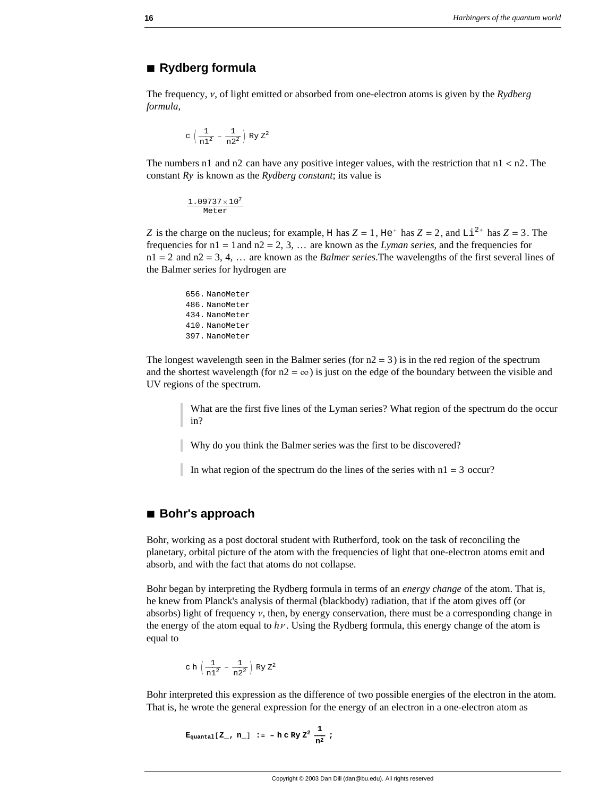# **à Rydberg formula**

The frequency,  $v$ , of light emitted or absorbed from one-electron atoms is given by the *Rydberg formula*,

$$
c\,\left(\frac{1}{n1^2}\,-\,\frac{1}{n2^2}\,\right)\,Ry\;Z^2
$$

The numbers n1 and n2 can have any positive integer values, with the restriction that  $n1 < n2$ . The constant *Ry* is known as the *Rydberg constant*; its value is

 $\frac{1.09737 \times 10^7}{\text{Meter}}$ 

*Z* is the charge on the nucleus; for example, H has  $Z = 1$ , He<sup>+</sup> has  $Z = 2$ , and Li<sup>2+</sup> has  $Z = 3$ . The frequencies for n1 = 1and n2 = 2, 3, … are known as the *Lyman series*, and the frequencies for n1 = 2 and n2 = 3, 4, … are known as the *Balmer series*.The wavelengths of the first several lines of the Balmer series for hydrogen are

656. NanoMeter 486. NanoMeter 434. NanoMeter 410. NanoMeter 397. NanoMeter

The longest wavelength seen in the Balmer series (for  $n^2 = 3$ ) is in the red region of the spectrum and the shortest wavelength (for  $n2 = \infty$ ) is just on the edge of the boundary between the visible and UV regions of the spectrum.

> What are the first five lines of the Lyman series? What region of the spectrum do the occur in?

Why do you think the Balmer series was the first to be discovered?

In what region of the spectrum do the lines of the series with  $n_1 = 3$  occur?

# **à Bohr's approach**

Bohr, working as a post doctoral student with Rutherford, took on the task of reconciling the planetary, orbital picture of the atom with the frequencies of light that one-electron atoms emit and absorb, and with the fact that atoms do not collapse.

Bohr began by interpreting the Rydberg formula in terms of an *energy change* of the atom. That is, he knew from Planck's analysis of thermal (blackbody) radiation, that if the atom gives off (or absorbs) light of frequency  $\nu$ , then, by energy conservation, there must be a corresponding change in the energy of the atom equal to  $h\nu$ . Using the Rydberg formula, this energy change of the atom is equal to

$$
c \; h \; \Big( \frac{1}{n1^2} - \frac{1}{n2^2} \Big) \; Ry \; Z^2
$$

Bohr interpreted this expression as the difference of two possible energies of the electron in the atom. That is, he wrote the general expression for the energy of an electron in a one-electron atom as

$$
E_{quantal} [Z_{-}, n_{-}] := -h c R y Z^2 \frac{1}{n^2} ;
$$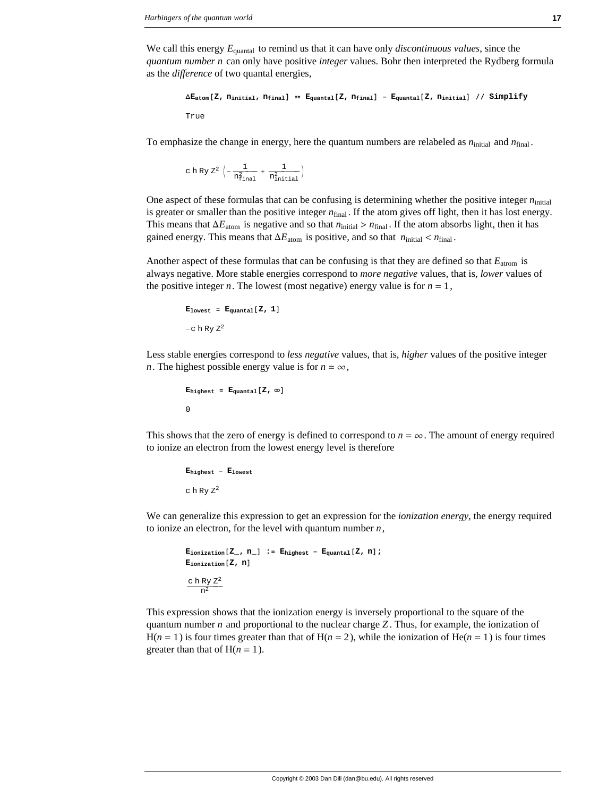We call this energy *E*quantal to remind us that it can have only *discontinuous values*, since the *quantum number n* can only have positive *integer* values. Bohr then interpreted the Rydberg formula as the *difference* of two quantal energies,

```
∆Eatom@Z, ninitial, nfinalD m Equantal@Z, nfinalD − Equantal@Z, ninitialD êê Simplify
True
```
To emphasize the change in energy, here the quantum numbers are relabeled as  $n_{initial}$  and  $n_{final}$ .

c h Ry Z<sup>2</sup>  $\left(-\frac{1}{n_{\mathrm{final}}^2} + \frac{1}{n_{\mathrm{initial}}^2}\right)$ 

One aspect of these formulas that can be confusing is determining whether the positive integer  $n_{initial}$ is greater or smaller than the positive integer  $n_{final}$ . If the atom gives off light, then it has lost energy. This means that  $\Delta E_{\text{atom}}$  is negative and so that  $n_{\text{initial}} > n_{\text{final}}$ . If the atom absorbs light, then it has gained energy. This means that  $\Delta E_{\text{atom}}$  is positive, and so that  $n_{\text{initial}} < n_{\text{final}}$ .

Another aspect of these formulas that can be confusing is that they are defined so that *E*atrom is always negative. More stable energies correspond to *more negative* values, that is, *lower* values of the positive integer *n*. The lowest (most negative) energy value is for  $n = 1$ ,

```
E_{\text{lowest}} = E_{\text{quantal}}[Z, 1]−c h Ry Z2
```
Less stable energies correspond to *less negative* values, that is, *higher* values of the positive integer *n*. The highest possible energy value is for  $n = \infty$ ,

```
\mathbf{E}_{\text{highest}} = \mathbf{E}_{\text{quantal}}[Z, \infty]0
```
This shows that the zero of energy is defined to correspond to  $n = \infty$ . The amount of energy required to ionize an electron from the lowest energy level is therefore

**Ehighest − Elowest** c h Ry  $Z^2$ 

We can generalize this expression to get an expression for the *ionization energy*, the energy required to ionize an electron, for the level with quantum number *n*,

```
\mathbf{E}_{\text{ionization}}[\mathbf{Z}_\text{I}, \mathbf{n}_\text{I}] := \mathbf{E}_{\text{highest}} - \mathbf{E}_{\text{quantal}}[\mathbf{Z}, \mathbf{n}];
E_{\text{ionization}}[Z, n]rac{\text{c h Ry } Z^2}{n^2}
```
This expression shows that the ionization energy is inversely proportional to the square of the quantum number *n* and proportional to the nuclear charge *Z* . Thus, for example, the ionization of  $H(n = 1)$  is four times greater than that of  $H(n = 2)$ , while the ionization of  $He(n = 1)$  is four times greater than that of  $H(n = 1)$ .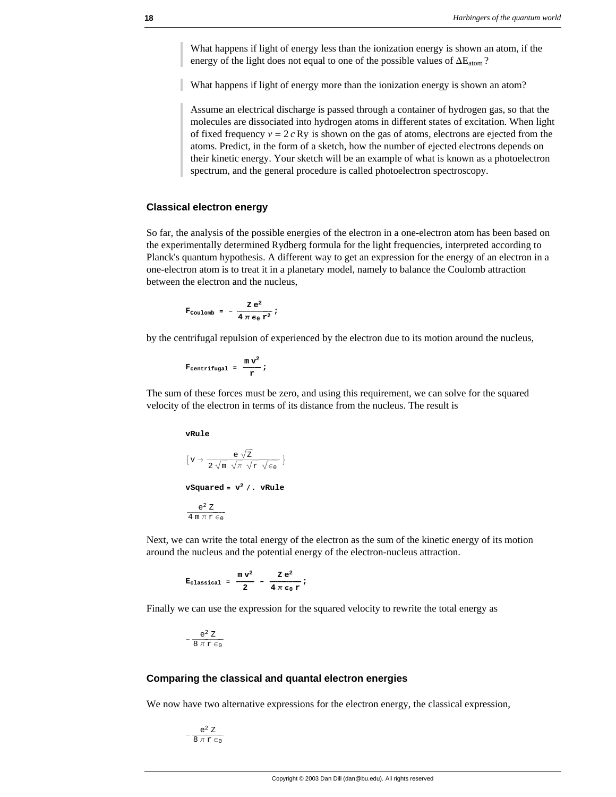What happens if light of energy less than the ionization energy is shown an atom, if the energy of the light does not equal to one of the possible values of  $\Delta E_{atom}$ ?

What happens if light of energy more than the ionization energy is shown an atom?

Assume an electrical discharge is passed through a container of hydrogen gas, so that the molecules are dissociated into hydrogen atoms in different states of excitation. When light of fixed frequency  $v = 2 c Ry$  is shown on the gas of atoms, electrons are ejected from the atoms. Predict, in the form of a sketch, how the number of ejected electrons depends on their kinetic energy. Your sketch will be an example of what is known as a photoelectron spectrum, and the general procedure is called photoelectron spectroscopy.

#### **Classical electron energy**

So far, the analysis of the possible energies of the electron in a one-electron atom has been based on the experimentally determined Rydberg formula for the light frequencies, interpreted according to Planck's quantum hypothesis. A different way to get an expression for the energy of an electron in a one-electron atom is to treat it in a planetary model, namely to balance the Coulomb attraction between the electron and the nucleus,

$$
\mathbf{F}_{\text{Coulomb}} = -\frac{\mathbf{Z} e^2}{4 \pi \epsilon_0 \mathbf{r}^2};
$$

by the centrifugal repulsion of experienced by the electron due to its motion around the nucleus,

$$
F_{centrifugal} = \frac{m v^2}{r};
$$

The sum of these forces must be zero, and using this requirement, we can solve for the squared velocity of the electron in terms of its distance from the nucleus. The result is

**vRule**

$$
\{v \to \frac{e \sqrt{Z}}{2 \sqrt{m} \sqrt{\pi} \sqrt{r} \sqrt{\epsilon_0}}\}
$$
  
vsquared =  $v^2 / .$  vRule  

$$
\frac{e^2 Z}{4 m \pi r \epsilon_0}
$$

Next, we can write the total energy of the electron as the sum of the kinetic energy of its motion around the nucleus and the potential energy of the electron-nucleus attraction.

$$
E_{classical} = \frac{mv^2}{2} - \frac{Ze^2}{4 \pi \epsilon_0 r};
$$

Finally we can use the expression for the squared velocity to rewrite the total energy as

$$
-\,\frac{e^2\,\,Z}{8\,\,\pi\,\,r\,\,\varepsilon_0}
$$

#### **Comparing the classical and quantal electron energies**

We now have two alternative expressions for the electron energy, the classical expression,

 $-\,\frac{e^2\;Z}{8\,\pi\,r\,\epsilon_0}$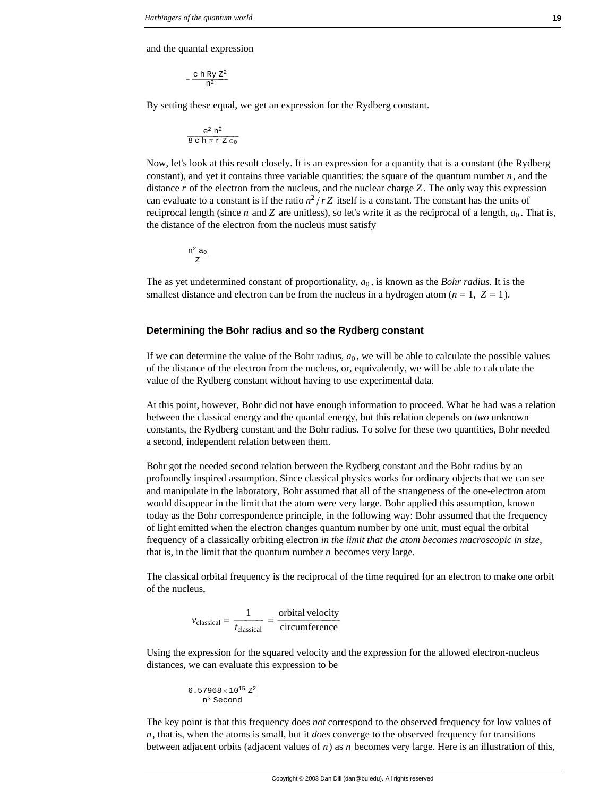and the quantal expression

$$
-\,\frac{c\;h\;R y\;Z^2}{n^2}
$$

By setting these equal, we get an expression for the Rydberg constant.

$$
\frac{e^2\;n^2}{8\;c\;h\;\pi\;r\;Z\;\varepsilon_0}
$$

Now, let's look at this result closely. It is an expression for a quantity that is a constant (the Rydberg constant), and yet it contains three variable quantities: the square of the quantum number  $n$ , and the distance *r* of the electron from the nucleus, and the nuclear charge *Z* . The only way this expression can evaluate to a constant is if the ratio  $n^2/rZ$  itself is a constant. The constant has the units of reciprocal length (since *n* and *Z* are unitless), so let's write it as the reciprocal of a length,  $a_0$ . That is, the distance of the electron from the nucleus must satisfy

$$
\frac{n^2\,a_0}{Z}
$$

The as yet undetermined constant of proportionality, *a*<sup>0</sup> , is known as the *Bohr radius*. It is the smallest distance and electron can be from the nucleus in a hydrogen atom  $(n = 1, Z = 1)$ .

#### **Determining the Bohr radius and so the Rydberg constant**

If we can determine the value of the Bohr radius,  $a<sub>0</sub>$ , we will be able to calculate the possible values of the distance of the electron from the nucleus, or, equivalently, we will be able to calculate the value of the Rydberg constant without having to use experimental data.

At this point, however, Bohr did not have enough information to proceed. What he had was a relation between the classical energy and the quantal energy, but this relation depends on *two* unknown constants, the Rydberg constant and the Bohr radius. To solve for these two quantities, Bohr needed a second, independent relation between them.

Bohr got the needed second relation between the Rydberg constant and the Bohr radius by an profoundly inspired assumption. Since classical physics works for ordinary objects that we can see and manipulate in the laboratory, Bohr assumed that all of the strangeness of the one-electron atom would disappear in the limit that the atom were very large. Bohr applied this assumption, known today as the Bohr correspondence principle, in the following way: Bohr assumed that the frequency of light emitted when the electron changes quantum number by one unit, must equal the orbital frequency of a classically orbiting electron *in the limit that the atom becomes macroscopic in size*, that is, in the limit that the quantum number *n* becomes very large.

The classical orbital frequency is the reciprocal of the time required for an electron to make one orbit of the nucleus,

$$
v_{\text{classical}} = \frac{1}{t_{\text{classical}}} = \frac{\text{orbital velocity}}{\text{circumference}}
$$

Using the expression for the squared velocity and the expression for the allowed electron-nucleus distances, we can evaluate this expression to be

$$
\frac{6.57968 \times 10^{15} \text{ Z}^2}{n^3 \text{ Second}}
$$

The key point is that this frequency does *not* correspond to the observed frequency for low values of *n*, that is, when the atoms is small, but it *does* converge to the observed frequency for transitions between adjacent orbits (adjacent values of *n*) as *n* becomes very large. Here is an illustration of this,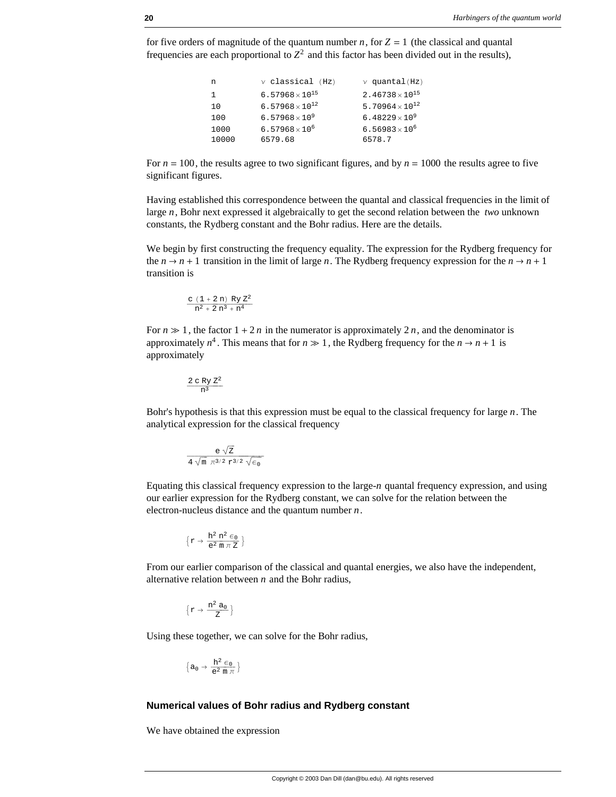for five orders of magnitude of the quantum number *n*, for  $Z = 1$  (the classical and quantal frequencies are each proportional to  $Z^2$  and this factor has been divided out in the results),

```
n \vee classical (Hz) \vee quantal(Hz)<br>1 6.57968×10<sup>15</sup> 2.46738×10<sup>15</sup>
1 6.57968\times10<sup>15</sup>
10 6.57968\times10<sup>12</sup> 5.70964\times10<sup>12</sup>
100 6.57968\times10<sup>9</sup> 6.48229\times10<sup>9</sup>
1000 6.57968\times10<sup>6</sup> 6.56983\times10<sup>6</sup>
10000 6579.68 6578.7
```
For  $n = 100$ , the results agree to two significant figures, and by  $n = 1000$  the results agree to five significant figures.

Having established this correspondence between the quantal and classical frequencies in the limit of large *n*, Bohr next expressed it algebraically to get the second relation between the *two* unknown constants, the Rydberg constant and the Bohr radius. Here are the details.

We begin by first constructing the frequency equality. The expression for the Rydberg frequency for the  $n \to n + 1$  transition in the limit of large *n*. The Rydberg frequency expression for the  $n \to n + 1$ transition is

$$
\frac{c\ (1+2\ n)\ Ry\ Z^2}{n^2+2\ n^3+n^4}
$$

For  $n \gg 1$ , the factor  $1 + 2n$  in the numerator is approximately 2*n*, and the denominator is approximately  $n^4$ . This means that for  $n \gg 1$ , the Rydberg frequency for the  $n \rightarrow n + 1$  is approximately

$$
\frac{2\ c\ Ry\ Z^2}{n^3}
$$

Bohr's hypothesis is that this expression must be equal to the classical frequency for large *n*. The analytical expression for the classical frequency

$$
\frac{e\;\sqrt{z}}{4\;\sqrt{\text{m}}\;\,\pi^{3/2}\;r^{3/2}\;\sqrt{\varepsilon_0}}
$$

Equating this classical frequency expression to the large-*n* quantal frequency expression, and using our earlier expression for the Rydberg constant, we can solve for the relation between the electron-nucleus distance and the quantum number *n*.

$$
\Big\{r\to\frac{h^2\;n^2\;\varepsilon_0}{e^2\;\textrm{m}\;\pi\;Z}\,\Big\}
$$

From our earlier comparison of the classical and quantal energies, we also have the independent, alternative relation between *n* and the Bohr radius,

$$
\Big\{r\to \frac{n^2\;a_0}{Z}\,\Big\}
$$

Using these together, we can solve for the Bohr radius,

$$
\Big\{a_0\to\frac{h^2\in_0}{e^2\,\mathfrak{m}\,\pi}\,\Big\}
$$

#### **Numerical values of Bohr radius and Rydberg constant**

We have obtained the expression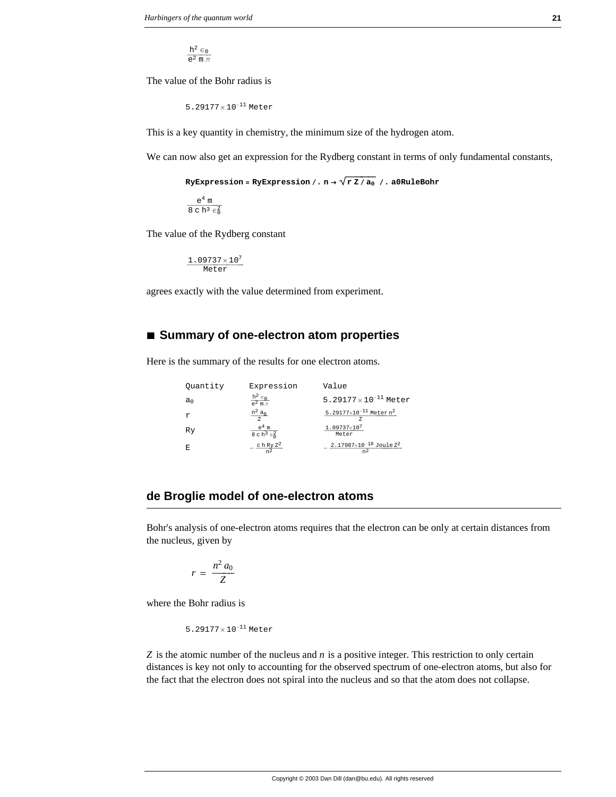$\frac{h^2 \epsilon_0}{e^2 \, m \, \pi}$ 

The value of the Bohr radius is

5.29177× 10−<sup>11</sup> Meter

This is a key quantity in chemistry, the minimum size of the hydrogen atom.

We can now also get an expression for the Rydberg constant in terms of only fundamental constants,

 $Ry$ Expression =  $Ry$ Expression  $/$ . n  $\rightarrow \sqrt{r Z / a_0}$   $/$ . a0RuleBohr

 $\frac{e^4 \text{ m}}{8 \text{ c} \text{ h}^3 \in_0^2}$ 

The value of the Rydberg constant

 $\frac{1.09737 \times 10^7}{\text{Meter}}$ 

agrees exactly with the value determined from experiment.

# **à Summary of one-electron atom properties**

Here is the summary of the results for one electron atoms.

| Ouantity       | Expression                         | Value                                 |
|----------------|------------------------------------|---------------------------------------|
| a <sub>0</sub> | $\frac{h^2 \epsilon_0}{e^2 m \pi}$ | $5.29177 \times 10^{-11}$ Meter       |
| Υ              | $n^2 a_0$                          | 5.29177×10 <sup>-11</sup> Meter $n^2$ |
| Ry             | $e^4$ m<br>$8ch^3 \epsilon_0^2$    | $1.09737 \times 10^7$<br>Meter        |
| F.             | ch Ry $Z^2$                        | $2.17987 \times 10^{-18}$ Joule $Z^2$ |

# **de Broglie model of one-electron atoms**

Bohr's analysis of one-electron atoms requires that the electron can be only at certain distances from the nucleus, given by

$$
r = \frac{n^2 a_0}{Z}
$$

where the Bohr radius is

5.29177× 10−<sup>11</sup> Meter

*Z* is the atomic number of the nucleus and *n* is a positive integer. This restriction to only certain distances is key not only to accounting for the observed spectrum of one-electron atoms, but also for the fact that the electron does not spiral into the nucleus and so that the atom does not collapse.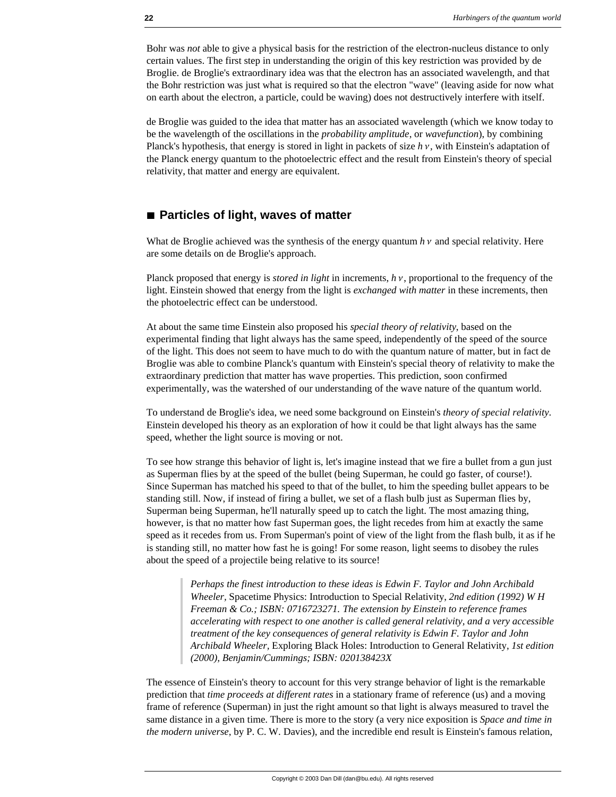Bohr was *not* able to give a physical basis for the restriction of the electron-nucleus distance to only certain values. The first step in understanding the origin of this key restriction was provided by de Broglie. de Broglie's extraordinary idea was that the electron has an associated wavelength, and that the Bohr restriction was just what is required so that the electron "wave" (leaving aside for now what on earth about the electron, a particle, could be waving) does not destructively interfere with itself.

de Broglie was guided to the idea that matter has an associated wavelength (which we know today to be the wavelength of the oscillations in the *probability amplitude*, or *wavefunction*), by combining Planck's hypothesis, that energy is stored in light in packets of size  $h v$ , with Einstein's adaptation of the Planck energy quantum to the photoelectric effect and the result from Einstein's theory of special relativity, that matter and energy are equivalent.

# ■ **Particles of light, waves of matter**

What de Broglie achieved was the synthesis of the energy quantum  $h v$  and special relativity. Here are some details on de Broglie's approach.

Planck proposed that energy is *stored in light* in increments,  $h v$ , proportional to the frequency of the light. Einstein showed that energy from the light is *exchanged with matter* in these increments, then the photoelectric effect can be understood.

At about the same time Einstein also proposed his *special theory of relativity*, based on the experimental finding that light always has the same speed, independently of the speed of the source of the light. This does not seem to have much to do with the quantum nature of matter, but in fact de Broglie was able to combine Planck's quantum with Einstein's special theory of relativity to make the extraordinary prediction that matter has wave properties. This prediction, soon confirmed experimentally, was the watershed of our understanding of the wave nature of the quantum world.

To understand de Broglie's idea, we need some background on Einstein's *theory of special relativity*. Einstein developed his theory as an exploration of how it could be that light always has the same speed, whether the light source is moving or not.

To see how strange this behavior of light is, let's imagine instead that we fire a bullet from a gun just as Superman flies by at the speed of the bullet (being Superman, he could go faster, of course!). Since Superman has matched his speed to that of the bullet, to him the speeding bullet appears to be standing still. Now, if instead of firing a bullet, we set of a flash bulb just as Superman flies by, Superman being Superman, he'll naturally speed up to catch the light. The most amazing thing, however, is that no matter how fast Superman goes, the light recedes from him at exactly the same speed as it recedes from us. From Superman's point of view of the light from the flash bulb, it as if he is standing still, no matter how fast he is going! For some reason, light seems to disobey the rules about the speed of a projectile being relative to its source!

> *Perhaps the finest introduction to these ideas is Edwin F. Taylor and John Archibald Wheeler,* Spacetime Physics: Introduction to Special Relativity, *2nd edition (1992) W H Freeman & Co.; ISBN: 0716723271. The extension by Einstein to reference frames accelerating with respect to one another is called general relativity, and a very accessible treatment of the key consequences of general relativity is Edwin F. Taylor and John Archibald Wheeler,* Exploring Black Holes: Introduction to General Relativity, *1st edition (2000), Benjamin/Cummings; ISBN: 020138423X*

The essence of Einstein's theory to account for this very strange behavior of light is the remarkable prediction that *time proceeds at different rates* in a stationary frame of reference (us) and a moving frame of reference (Superman) in just the right amount so that light is always measured to travel the same distance in a given time. There is more to the story (a very nice exposition is *Space and time in the modern universe*, by P. C. W. Davies), and the incredible end result is Einstein's famous relation,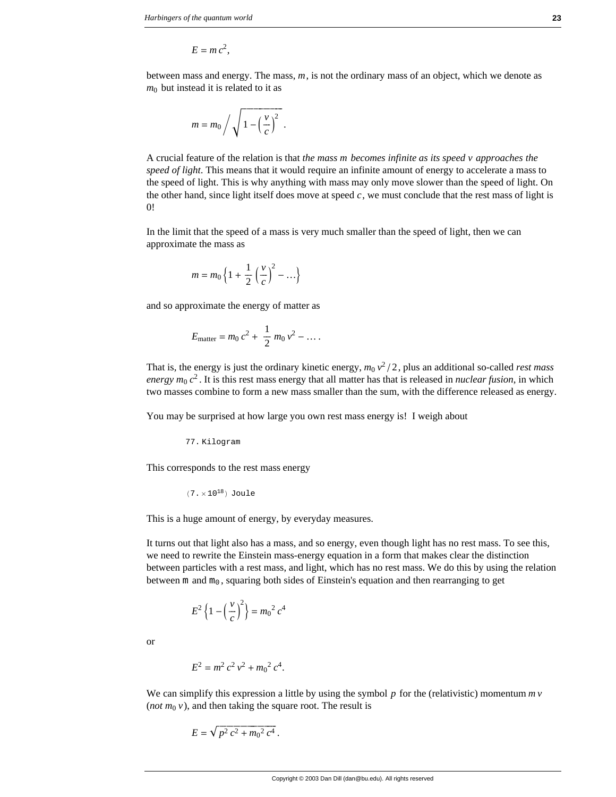$$
E = mc^2,
$$

between mass and energy. The mass, *m*, is not the ordinary mass of an object, which we denote as  $m<sub>0</sub>$  but instead it is related to it as

$$
m = m_0 / \sqrt{1 - \left(\frac{v}{c}\right)^2}.
$$

A crucial feature of the relation is that *the mass m becomes infinite as its speed v approaches the speed of light*. This means that it would require an infinite amount of energy to accelerate a mass to the speed of light. This is why anything with mass may only move slower than the speed of light. On the other hand, since light itself does move at speed  $c$ , we must conclude that the rest mass of light is 0!

In the limit that the speed of a mass is very much smaller than the speed of light, then we can approximate the mass as

$$
m = m_0 \left\{ 1 + \frac{1}{2} \left( \frac{v}{c} \right)^2 - \ldots \right\}
$$

and so approximate the energy of matter as

$$
E_{\text{matter}} = m_0 c^2 + \frac{1}{2} m_0 v^2 - \dots
$$

That is, the energy is just the ordinary kinetic energy,  $m_0 v^2/2$ , plus an additional so-called *rest mass energy m*<sup>0</sup> *c*<sup>2</sup> . It is this rest mass energy that all matter has that is released in *nuclear fusion*, in which two masses combine to form a new mass smaller than the sum, with the difference released as energy.

You may be surprised at how large you own rest mass energy is! I weigh about

77. Kilogram

This corresponds to the rest mass energy

$$
(7 \cdot \times 10^{18})
$$
 Joule

This is a huge amount of energy, by everyday measures.

It turns out that light also has a mass, and so energy, even though light has no rest mass. To see this, we need to rewrite the Einstein mass-energy equation in a form that makes clear the distinction between particles with a rest mass, and light, which has no rest mass. We do this by using the relation between m and  $m_0$ , squaring both sides of Einstein's equation and then rearranging to get

$$
E^{2}\left\{1-\left(\frac{v}{c}\right)^{2}\right\}=m_{0}^{2}c^{4}
$$

or

$$
E^2 = m^2 c^2 v^2 + m_0^2 c^4.
$$

We can simplify this expression a little by using the symbol p for the (relativistic) momentum  $m v$ (*not*  $m_0$   $v$ ), and then taking the square root. The result is

$$
E = \sqrt{p^2 c^2 + m_0^2 c^4}.
$$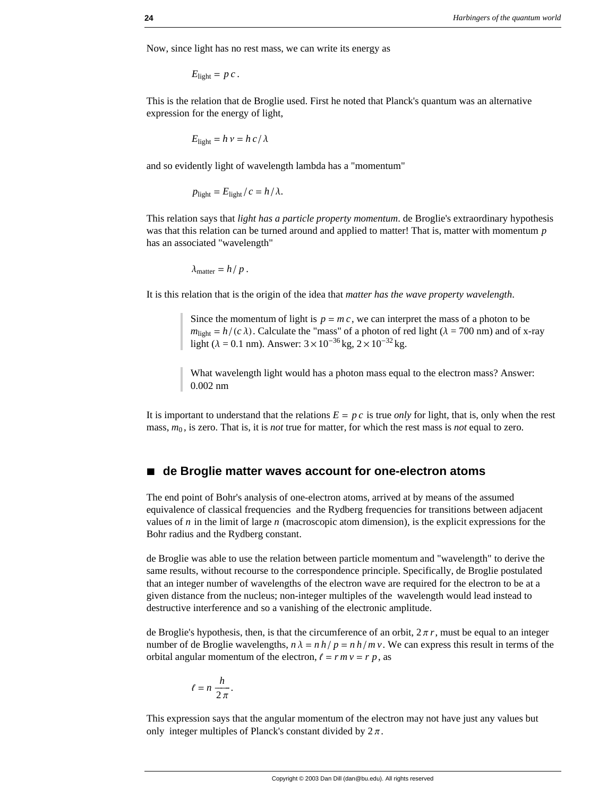Now, since light has no rest mass, we can write its energy as

 $E_{\text{light}} = p c$ .

This is the relation that de Broglie used. First he noted that Planck's quantum was an alternative expression for the energy of light,

$$
E_{\text{light}} = h \, v = h \, c / \lambda
$$

and so evidently light of wavelength lambda has a "momentum"

 $p_{\text{light}} = E_{\text{light}} / c = h / \lambda.$ 

This relation says that *light has a particle property momentum*. de Broglie's extraordinary hypothesis was that this relation can be turned around and applied to matter! That is, matter with momentum *p* has an associated "wavelength"

 $\lambda_{\text{matter}} = h / p$ .

It is this relation that is the origin of the idea that *matter has the wave property wavelength*.

Since the momentum of light is  $p = mc$ , we can interpret the mass of a photon to be  $m_{\text{light}} = h/(c \lambda)$ . Calculate the "mass" of a photon of red light ( $\lambda = 700$  nm) and of x-ray light ( $\lambda = 0.1$  nm). Answer:  $3 \times 10^{-36}$  kg,  $2 \times 10^{-32}$  kg.

What wavelength light would has a photon mass equal to the electron mass? Answer: 0.002 nm

It is important to understand that the relations  $E = p c$  is true *only* for light, that is, only when the rest mass, *m*<sup>0</sup> , is zero. That is, it is *not* true for matter, for which the rest mass is *not* equal to zero.

## ■ de Broglie matter waves account for one-electron atoms

The end point of Bohr's analysis of one-electron atoms, arrived at by means of the assumed equivalence of classical frequencies and the Rydberg frequencies for transitions between adjacent values of *n* in the limit of large *n* (macroscopic atom dimension), is the explicit expressions for the Bohr radius and the Rydberg constant.

de Broglie was able to use the relation between particle momentum and "wavelength" to derive the same results, without recourse to the correspondence principle. Specifically, de Broglie postulated that an integer number of wavelengths of the electron wave are required for the electron to be at a given distance from the nucleus; non-integer multiples of the wavelength would lead instead to destructive interference and so a vanishing of the electronic amplitude.

de Broglie's hypothesis, then, is that the circumference of an orbit,  $2\pi r$ , must be equal to an integer number of de Broglie wavelengths,  $n \lambda = nh/p = nh/mv$ . We can express this result in terms of the orbital angular momentum of the electron,  $\ell = r m v = r p$ , as

$$
\ell = n \; \frac{h}{2 \, \pi}.
$$

This expression says that the angular momentum of the electron may not have just any values but only integer multiples of Planck's constant divided by  $2\pi$ .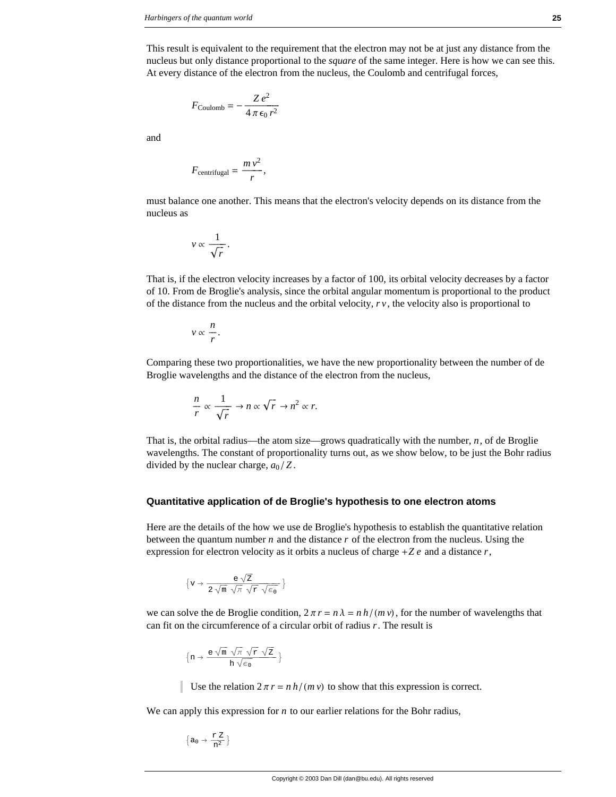This result is equivalent to the requirement that the electron may not be at just any distance from the nucleus but only distance proportional to the *square* of the same integer. Here is how we can see this. At every distance of the electron from the nucleus, the Coulomb and centrifugal forces,

$$
F_{\rm Coulomb} = -\frac{Z e^2}{4\pi \epsilon_0 r^2}
$$

and

$$
F_{\text{centrifugal}} = \frac{m v^2}{r},
$$

must balance one another. This means that the electron's velocity depends on its distance from the nucleus as

$$
v \propto \frac{1}{\sqrt{r}}.
$$

That is, if the electron velocity increases by a factor of 100, its orbital velocity decreases by a factor of 10. From de Broglie's analysis, since the orbital angular momentum is proportional to the product of the distance from the nucleus and the orbital velocity, *r v*, the velocity also is proportional to

$$
v \propto \frac{n}{r}.
$$

Comparing these two proportionalities, we have the new proportionality between the number of de Broglie wavelengths and the distance of the electron from the nucleus,

$$
\frac{n}{r} \propto \frac{1}{\sqrt{r}} \to n \propto \sqrt{r} \to n^2 \propto r.
$$

That is, the orbital radius—the atom size—grows quadratically with the number, *n*, of de Broglie wavelengths. The constant of proportionality turns out, as we show below, to be just the Bohr radius divided by the nuclear charge,  $a_0/Z$ .

#### **Quantitative application of de Broglie's hypothesis to one electron atoms**

Here are the details of the how we use de Broglie's hypothesis to establish the quantitative relation between the quantum number *n* and the distance *r* of the electron from the nucleus. Using the expression for electron velocity as it orbits a nucleus of charge +*Z e* and a distance *r*,

$$
\Big\{v \to \frac{e \; \sqrt{z}}{2 \; \sqrt{\text{m}} \; \sqrt{\pi} \; \sqrt{\text{r}} \; \sqrt{\text{e}_0}} \; \Big\}
$$

we can solve the de Broglie condition,  $2 \pi r = n \lambda = n h / (m v)$ , for the number of wavelengths that can fit on the circumference of a circular orbit of radius *r*. The result is

$$
\big\{n\to\frac{\mathsf{e}\;\sqrt{\mathsf{m}}\;\sqrt{\mathsf{\pi}}\;\sqrt{\mathsf{\mathtt{r}}\;\sqrt{\mathsf{\mathtt{Z}}}}}{h\;\sqrt{\mathsf{\mathtt{e}}_{\,0}}}\,\big\}
$$

Use the relation  $2 \pi r = n h / (m v)$  to show that this expression is correct.

We can apply this expression for *n* to our earlier relations for the Bohr radius,

$$
\Big\{a_0\to\frac{r\,\,Z}{n^2}\,\Big\}
$$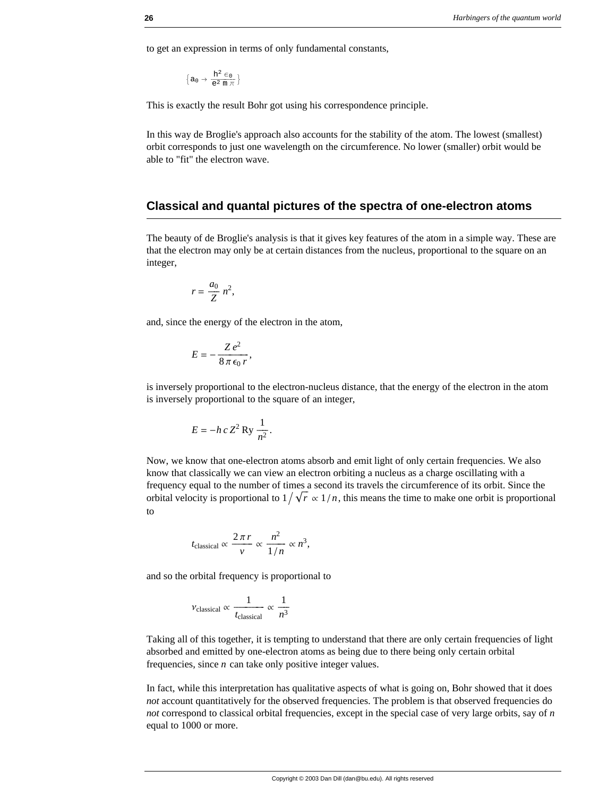to get an expression in terms of only fundamental constants,

$$
\Big\{a_0\to\frac{h^2\in_0}{e^2\,\mathfrak{m}\,\pi}\,\Big\}
$$

This is exactly the result Bohr got using his correspondence principle.

In this way de Broglie's approach also accounts for the stability of the atom. The lowest (smallest) orbit corresponds to just one wavelength on the circumference. No lower (smaller) orbit would be able to "fit" the electron wave.

## **Classical and quantal pictures of the spectra of one-electron atoms**

The beauty of de Broglie's analysis is that it gives key features of the atom in a simple way. These are that the electron may only be at certain distances from the nucleus, proportional to the square on an integer,

$$
r=\frac{a_0}{Z} n^2,
$$

and, since the energy of the electron in the atom,

$$
E=-\frac{Z\,e^2}{8\,\pi\,\epsilon_0\,r},
$$

is inversely proportional to the electron-nucleus distance, that the energy of the electron in the atom is inversely proportional to the square of an integer,

$$
E = -h c Z^2 \operatorname{Ry} \frac{1}{n^2}.
$$

Now, we know that one-electron atoms absorb and emit light of only certain frequencies. We also know that classically we can view an electron orbiting a nucleus as a charge oscillating with a frequency equal to the number of times a second its travels the circumference of its orbit. Since the orbital velocity is proportional to  $1/\sqrt{r} \propto 1/n$ , this means the time to make one orbit is proportional to

$$
t_{\text{classical}} \propto \frac{2\pi r}{v} \propto \frac{n^2}{1/n} \propto n^3,
$$

and so the orbital frequency is proportional to

$$
v_{\text{classical}} \propto \frac{1}{t_{\text{classical}}} \propto \frac{1}{n^3}
$$

Taking all of this together, it is tempting to understand that there are only certain frequencies of light absorbed and emitted by one-electron atoms as being due to there being only certain orbital frequencies, since *n* can take only positive integer values.

In fact, while this interpretation has qualitative aspects of what is going on, Bohr showed that it does *not* account quantitatively for the observed frequencies. The problem is that observed frequencies do *not* correspond to classical orbital frequencies, except in the special case of very large orbits, say of *n* equal to 1000 or more.